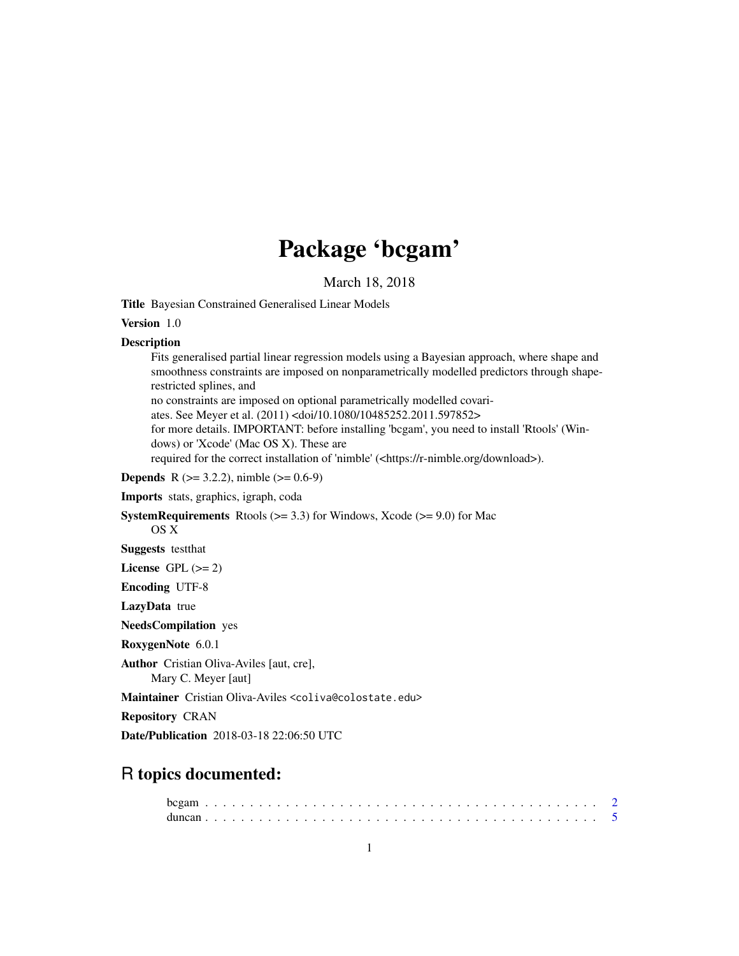# Package 'bcgam'

March 18, 2018

<span id="page-0-0"></span>Title Bayesian Constrained Generalised Linear Models

Version 1.0

#### Description

Fits generalised partial linear regression models using a Bayesian approach, where shape and smoothness constraints are imposed on nonparametrically modelled predictors through shaperestricted splines, and no constraints are imposed on optional parametrically modelled covariates. See Meyer et al. (2011) <doi/10.1080/10485252.2011.597852> for more details. IMPORTANT: before installing 'bcgam', you need to install 'Rtools' (Windows) or 'Xcode' (Mac OS X). These are required for the correct installation of 'nimble' (<https://r-nimble.org/download>). **Depends** R ( $>= 3.2.2$ ), nimble ( $>= 0.6-9$ ) Imports stats, graphics, igraph, coda **SystemRequirements** Rtools ( $>= 3.3$ ) for Windows, Xcode ( $>= 9.0$ ) for Mac OS X Suggests testthat License GPL  $(>= 2)$ Encoding UTF-8 LazyData true

NeedsCompilation yes

RoxygenNote 6.0.1

Author Cristian Oliva-Aviles [aut, cre],

Mary C. Meyer [aut]

Maintainer Cristian Oliva-Aviles <coliva@colostate.edu>

Repository CRAN

Date/Publication 2018-03-18 22:06:50 UTC

# R topics documented: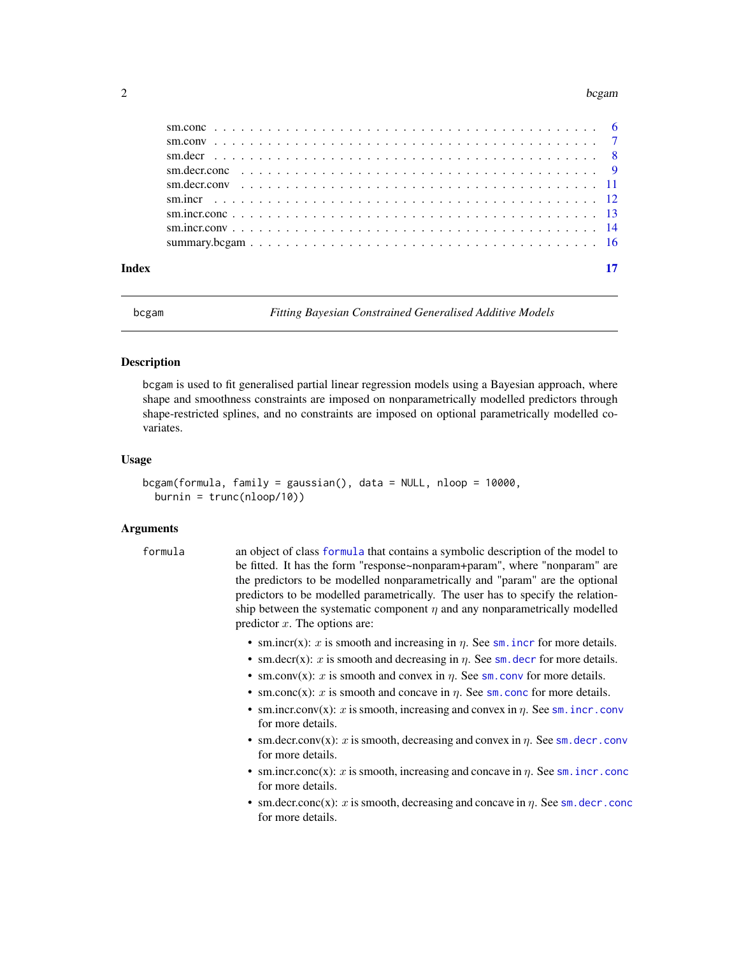#### <span id="page-1-0"></span> $2$  bcgam

| Index |  |
|-------|--|

bcgam *Fitting Bayesian Constrained Generalised Additive Models*

#### Description

bcgam is used to fit generalised partial linear regression models using a Bayesian approach, where shape and smoothness constraints are imposed on nonparametrically modelled predictors through shape-restricted splines, and no constraints are imposed on optional parametrically modelled covariates.

#### Usage

```
bcgam(formula, family = gaussian(), data = NULL, nloop = 10000,
 burnin = trunc(nloop/10))
```
#### Arguments

formula an object of class [formula](#page-0-0) that contains a symbolic description of the model to be fitted. It has the form "response~nonparam+param", where "nonparam" are the predictors to be modelled nonparametrically and "param" are the optional predictors to be modelled parametrically. The user has to specify the relationship between the systematic component  $\eta$  and any nonparametrically modelled predictor  $x$ . The options are:

- [sm.incr](#page-11-1)(x): x is smooth and increasing in  $\eta$ . See sm. incr for more details.
- [sm.decr](#page-7-1)(x): x is smooth and decreasing in  $\eta$ . See sm. decr for more details.
- [sm.conv](#page-6-1)(x): x is smooth and convex in  $\eta$ . See sm.conv for more details.
- [sm.conc](#page-5-1)(x): x is smooth and concave in  $\eta$ . See sm.conc for more details.
- [sm.incr.conv](#page-13-1)(x): x is smooth, increasing and convex in  $\eta$ . See sm. incr.conv for more details.
- [sm.decr.conv](#page-10-1)(x): x is smooth, decreasing and convex in  $\eta$ . See sm.decr.conv for more details.
- [sm.incr.conc](#page-12-1)(x): x is smooth, increasing and concave in  $\eta$ . See sm. incr.conc for more details.
- [sm.decr.conc](#page-8-1)(x): x is smooth, decreasing and concave in  $\eta$ . See sm. decr.conc for more details.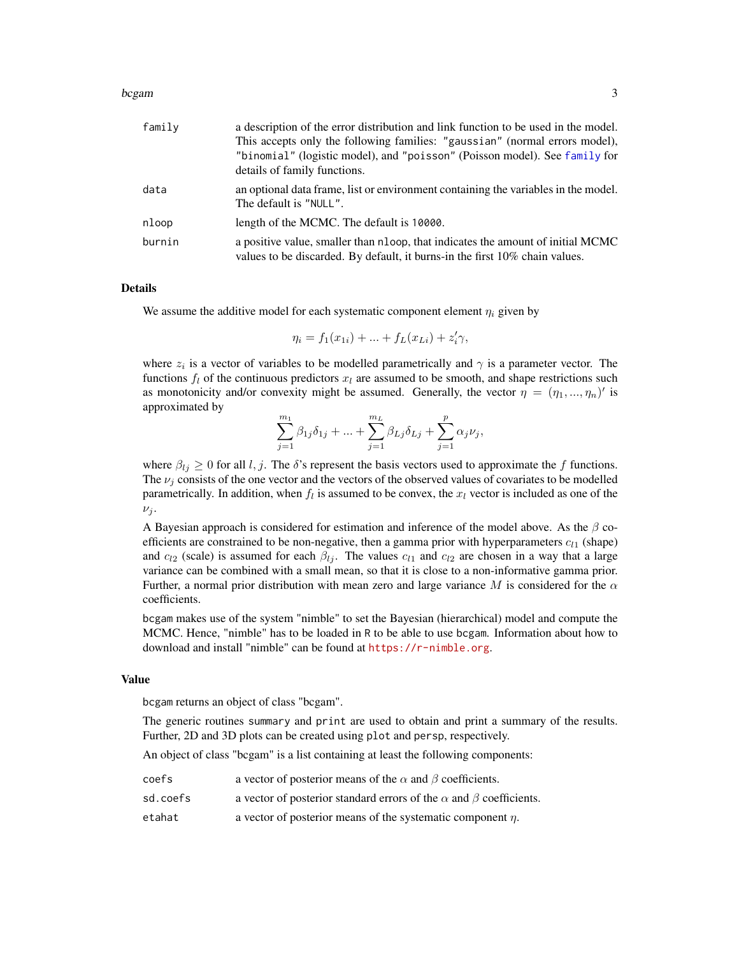#### <span id="page-2-0"></span>bcgam 3

| family | a description of the error distribution and link function to be used in the model. |
|--------|------------------------------------------------------------------------------------|
|        | This accepts only the following families: "gaussian" (normal errors model),        |
|        | "binomial" (logistic model), and "poisson" (Poisson model). See family for         |
|        | details of family functions.                                                       |
| data   | an optional data frame, list or environment containing the variables in the model. |
|        | The default is "NULL".                                                             |
| nloop  | length of the MCMC. The default is 10000.                                          |
| burnin | a positive value, smaller than nloop, that indicates the amount of initial MCMC    |
|        | values to be discarded. By default, it burns-in the first 10% chain values.        |

# Details

We assume the additive model for each systematic component element  $\eta_i$  given by

$$
\eta_i = f_1(x_{1i}) + \dots + f_L(x_{Li}) + z'_i \gamma,
$$

where  $z_i$  is a vector of variables to be modelled parametrically and  $\gamma$  is a parameter vector. The functions  $f_l$  of the continuous predictors  $x_l$  are assumed to be smooth, and shape restrictions such as monotonicity and/or convexity might be assumed. Generally, the vector  $\eta = (\eta_1, ..., \eta_n)'$  is approximated by

$$
\sum_{j=1}^{m_1}\beta_{1j}\delta_{1j}+...+\sum_{j=1}^{m_L}\beta_{Lj}\delta_{Lj}+\sum_{j=1}^p\alpha_j\nu_j,
$$

where  $\beta_{lj} \geq 0$  for all l, j. The  $\delta$ 's represent the basis vectors used to approximate the f functions. The  $\nu_i$  consists of the one vector and the vectors of the observed values of covariates to be modelled parametrically. In addition, when  $f_l$  is assumed to be convex, the  $x_l$  vector is included as one of the  $\nu_j$ .

A Bayesian approach is considered for estimation and inference of the model above. As the  $\beta$  coefficients are constrained to be non-negative, then a gamma prior with hyperparameters  $c_{l1}$  (shape) and  $c_{l2}$  (scale) is assumed for each  $\beta_{lj}$ . The values  $c_{l1}$  and  $c_{l2}$  are chosen in a way that a large variance can be combined with a small mean, so that it is close to a non-informative gamma prior. Further, a normal prior distribution with mean zero and large variance M is considered for the  $\alpha$ coefficients.

bcgam makes use of the system "nimble" to set the Bayesian (hierarchical) model and compute the MCMC. Hence, "nimble" has to be loaded in R to be able to use bcgam. Information about how to download and install "nimble" can be found at <https://r-nimble.org>.

#### Value

bcgam returns an object of class "bcgam".

The generic routines summary and print are used to obtain and print a summary of the results. Further, 2D and 3D plots can be created using plot and persp, respectively.

An object of class "bcgam" is a list containing at least the following components:

| coefs    | a vector of posterior means of the $\alpha$ and $\beta$ coefficients.           |
|----------|---------------------------------------------------------------------------------|
| sd.coefs | a vector of posterior standard errors of the $\alpha$ and $\beta$ coefficients. |
| etahat   | a vector of posterior means of the systematic component $\eta$ .                |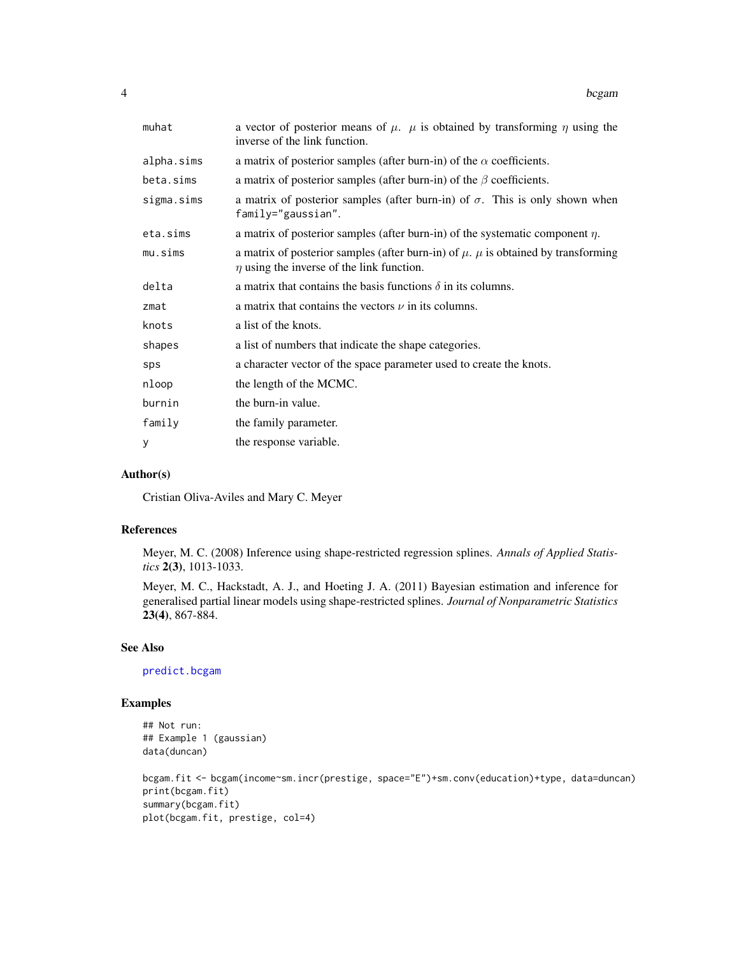<span id="page-3-0"></span>

| muhat      | a vector of posterior means of $\mu$ . $\mu$ is obtained by transforming $\eta$ using the<br>inverse of the link function.                   |
|------------|----------------------------------------------------------------------------------------------------------------------------------------------|
| alpha.sims | a matrix of posterior samples (after burn-in) of the $\alpha$ coefficients.                                                                  |
| beta.sims  | a matrix of posterior samples (after burn-in) of the $\beta$ coefficients.                                                                   |
| sigma.sims | a matrix of posterior samples (after burn-in) of $\sigma$ . This is only shown when<br>family="gaussian".                                    |
| eta.sims   | a matrix of posterior samples (after burn-in) of the systematic component $\eta$ .                                                           |
| mu.sims    | a matrix of posterior samples (after burn-in) of $\mu$ . $\mu$ is obtained by transforming<br>$\eta$ using the inverse of the link function. |
| delta      | a matrix that contains the basis functions $\delta$ in its columns.                                                                          |
| zmat       | a matrix that contains the vectors $\nu$ in its columns.                                                                                     |
| knots      | a list of the knots.                                                                                                                         |
| shapes     | a list of numbers that indicate the shape categories.                                                                                        |
| sps        | a character vector of the space parameter used to create the knots.                                                                          |
| nloop      | the length of the MCMC.                                                                                                                      |
| burnin     | the burn-in value.                                                                                                                           |
| family     | the family parameter.                                                                                                                        |
| y          | the response variable.                                                                                                                       |

# Author(s)

Cristian Oliva-Aviles and Mary C. Meyer

# References

Meyer, M. C. (2008) Inference using shape-restricted regression splines. *Annals of Applied Statistics* 2(3), 1013-1033.

Meyer, M. C., Hackstadt, A. J., and Hoeting J. A. (2011) Bayesian estimation and inference for generalised partial linear models using shape-restricted splines. *Journal of Nonparametric Statistics* 23(4), 867-884.

# See Also

[predict.bcgam](#page-0-0)

# Examples

```
## Not run:
## Example 1 (gaussian)
data(duncan)
```
bcgam.fit <- bcgam(income~sm.incr(prestige, space="E")+sm.conv(education)+type, data=duncan) print(bcgam.fit) summary(bcgam.fit) plot(bcgam.fit, prestige, col=4)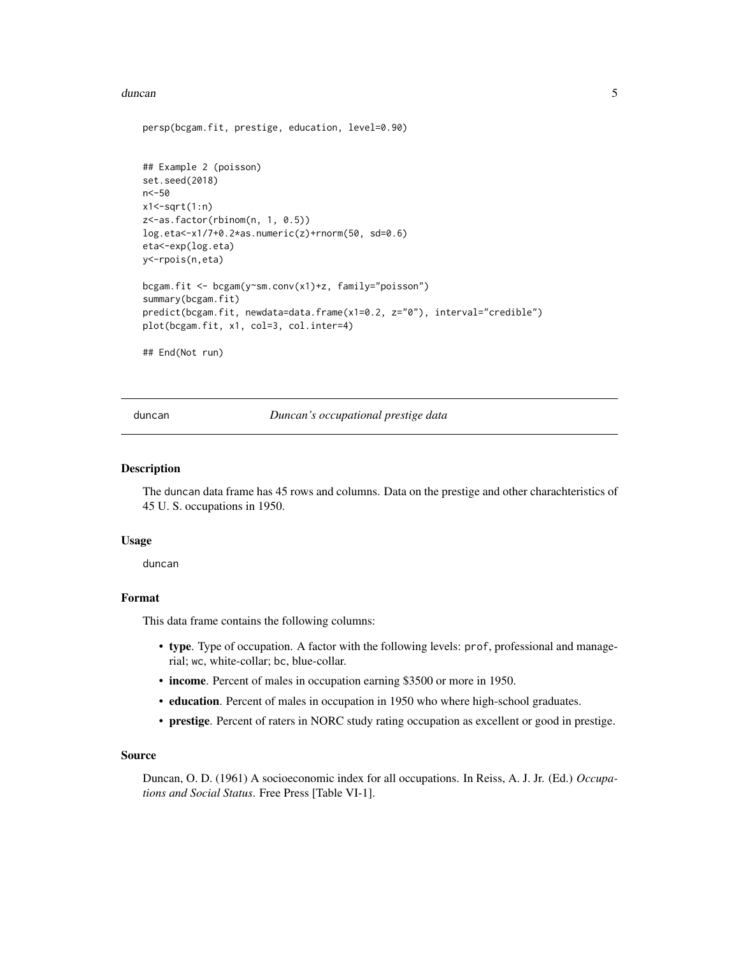#### <span id="page-4-0"></span>duncan 5 and 5 and 5 and 5 and 5 and 5 and 5 and 5 and 5 and 5 and 5 and 5 and 5 and 5 and 5 and 5 and 5 and 5

```
persp(bcgam.fit, prestige, education, level=0.90)
## Example 2 (poisson)
set.seed(2018)
n<-50
x1 <-sqrt(1:n)z<-as.factor(rbinom(n, 1, 0.5))
log.ets < -x1/7+0.2*as.numeric(z)+rnorm(50, sd=0.6)eta<-exp(log.eta)
y<-rpois(n,eta)
bcgam.fit <- bcgam(y~sm.conv(x1)+z, family="poisson")
summary(bcgam.fit)
predict(bcgam.fit, newdata=data.frame(x1=0.2, z="0"), interval="credible")
plot(bcgam.fit, x1, col=3, col.inter=4)
## End(Not run)
```
duncan *Duncan's occupational prestige data*

#### Description

The duncan data frame has 45 rows and columns. Data on the prestige and other charachteristics of 45 U. S. occupations in 1950.

#### Usage

duncan

# Format

This data frame contains the following columns:

- type. Type of occupation. A factor with the following levels: prof, professional and managerial; wc, white-collar; bc, blue-collar.
- income. Percent of males in occupation earning \$3500 or more in 1950.
- education. Percent of males in occupation in 1950 who where high-school graduates.
- prestige. Percent of raters in NORC study rating occupation as excellent or good in prestige.

#### Source

Duncan, O. D. (1961) A socioeconomic index for all occupations. In Reiss, A. J. Jr. (Ed.) *Occupations and Social Status*. Free Press [Table VI-1].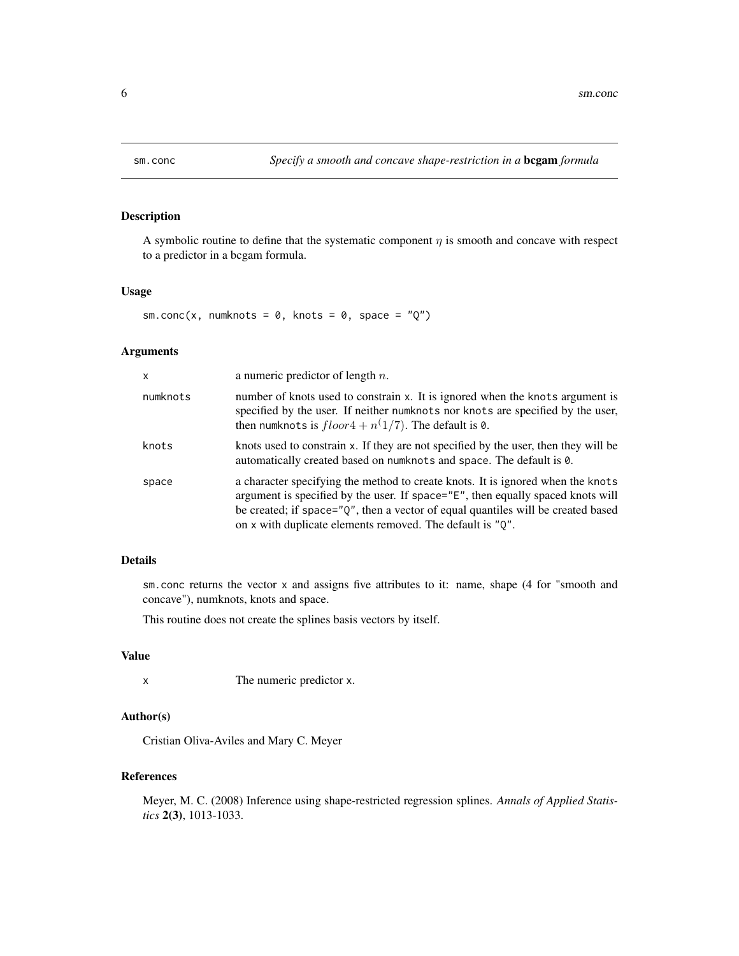<span id="page-5-1"></span><span id="page-5-0"></span>

# Description

A symbolic routine to define that the systematic component  $\eta$  is smooth and concave with respect to a predictor in a bcgam formula.

# Usage

sm.conc(x, numknots =  $0$ , knots =  $0$ , space = " $Q$ ")

# Arguments

| a numeric predictor of length $n$ .                                                                                                                                                                                                                                                                                 |
|---------------------------------------------------------------------------------------------------------------------------------------------------------------------------------------------------------------------------------------------------------------------------------------------------------------------|
| number of knots used to constrain x. It is ignored when the knots argument is<br>specified by the user. If neither numknots nor knots are specified by the user,<br>then numknots is $floor4 + n(1/7)$ . The default is 0.                                                                                          |
| knots used to constrain x. If they are not specified by the user, then they will be<br>automatically created based on numknots and space. The default is 0.                                                                                                                                                         |
| a character specifying the method to create knots. It is ignored when the knots<br>argument is specified by the user. If space="E", then equally spaced knots will<br>be created; if space="Q", then a vector of equal quantiles will be created based<br>on x with duplicate elements removed. The default is "Q". |
|                                                                                                                                                                                                                                                                                                                     |

# Details

sm.conc returns the vector x and assigns five attributes to it: name, shape (4 for "smooth and concave"), numknots, knots and space.

This routine does not create the splines basis vectors by itself.

# Value

x The numeric predictor x.

# Author(s)

Cristian Oliva-Aviles and Mary C. Meyer

# References

Meyer, M. C. (2008) Inference using shape-restricted regression splines. *Annals of Applied Statistics* 2(3), 1013-1033.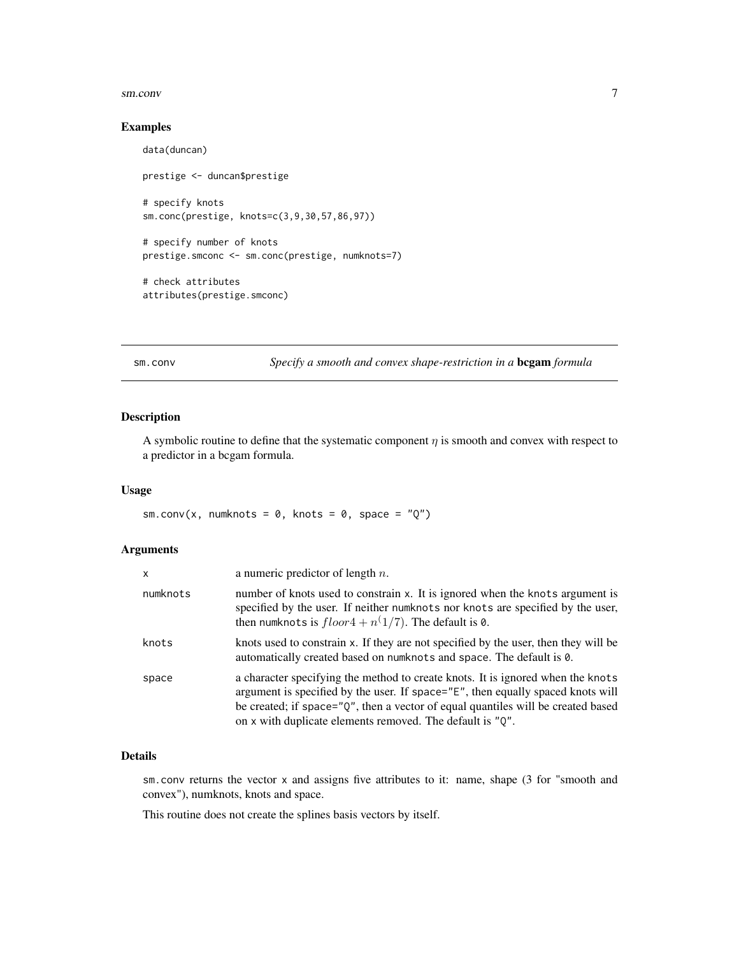#### <span id="page-6-0"></span>sm.conv 7

# Examples

```
data(duncan)
prestige <- duncan$prestige
# specify knots
sm.conc(prestige, knots=c(3,9,30,57,86,97))
# specify number of knots
prestige.smconc <- sm.conc(prestige, numknots=7)
# check attributes
attributes(prestige.smconc)
```
# <span id="page-6-1"></span>sm.conv *Specify a smooth and convex shape-restriction in a* **bcgam** *formula*

# Description

A symbolic routine to define that the systematic component  $\eta$  is smooth and convex with respect to a predictor in a bcgam formula.

# Usage

sm.conv(x, numknots =  $0$ , knots =  $0$ , space = " $Q$ ")

# Arguments

| $\mathsf{x}$ | a numeric predictor of length $n$ .                                                                                                                                                                                                                                                                                    |
|--------------|------------------------------------------------------------------------------------------------------------------------------------------------------------------------------------------------------------------------------------------------------------------------------------------------------------------------|
| numknots     | number of knots used to constrain x. It is ignored when the knots argument is<br>specified by the user. If neither numknots nor knots are specified by the user,<br>then numknots is $floor4 + n(1/7)$ . The default is 0.                                                                                             |
| knots        | knots used to constrain x. If they are not specified by the user, then they will be<br>automatically created based on numknots and space. The default is 0.                                                                                                                                                            |
| space        | a character specifying the method to create knots. It is ignored when the knots<br>argument is specified by the user. If space="E", then equally spaced knots will<br>be created; if space="Q", then a vector of equal quantiles will be created based<br>on x with duplicate elements removed. The default is $"Q"$ . |

# Details

sm.conv returns the vector x and assigns five attributes to it: name, shape (3 for "smooth and convex"), numknots, knots and space.

This routine does not create the splines basis vectors by itself.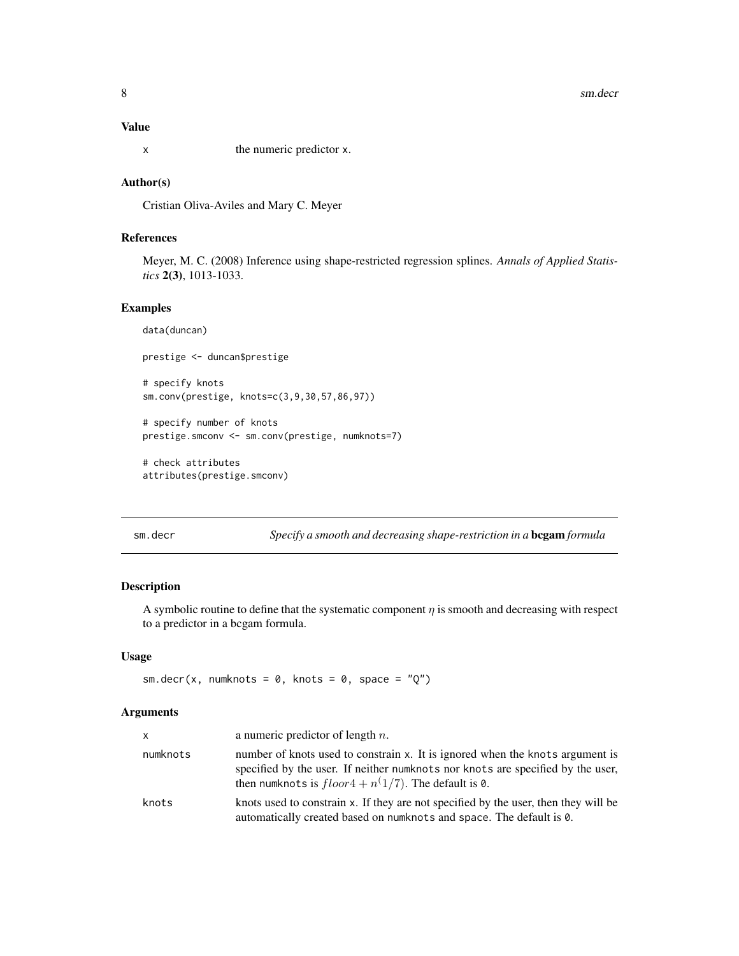#### <span id="page-7-0"></span>Value

x the numeric predictor x.

# Author(s)

Cristian Oliva-Aviles and Mary C. Meyer

# References

Meyer, M. C. (2008) Inference using shape-restricted regression splines. *Annals of Applied Statistics* 2(3), 1013-1033.

#### Examples

```
data(duncan)
prestige <- duncan$prestige
# specify knots
sm.conv(prestige, knots=c(3,9,30,57,86,97))
# specify number of knots
prestige.smconv <- sm.conv(prestige, numknots=7)
# check attributes
```
attributes(prestige.smconv)

sm.decr *Specify a smooth and decreasing shape-restriction in a* bcgam *formula*

# Description

A symbolic routine to define that the systematic component  $\eta$  is smooth and decreasing with respect to a predictor in a bcgam formula.

# Usage

```
sm.decr(x, numknots = 0, knots = 0, space = "Q")
```
# Arguments

| x        | a numeric predictor of length $n$ .                                                                                                                                                                                        |
|----------|----------------------------------------------------------------------------------------------------------------------------------------------------------------------------------------------------------------------------|
| numknots | number of knots used to constrain x. It is ignored when the knots argument is<br>specified by the user. If neither numknots nor knots are specified by the user,<br>then numknots is $floor4 + n(1/7)$ . The default is 0. |
| knots    | knots used to constrain x. If they are not specified by the user, then they will be<br>automatically created based on numknots and space. The default is 0.                                                                |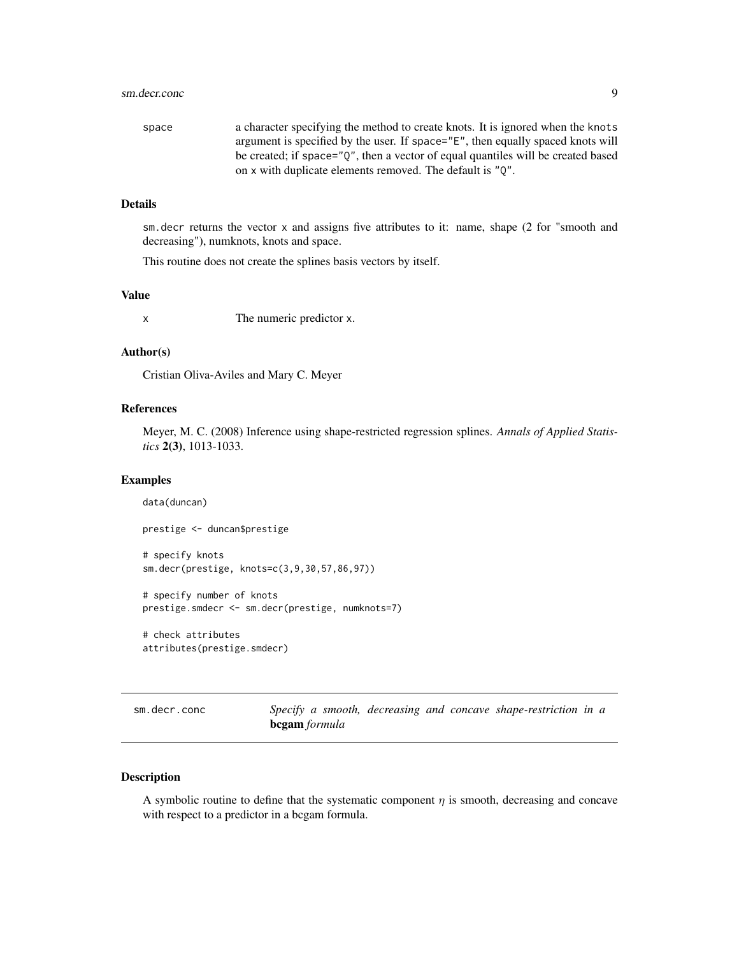#### <span id="page-8-0"></span>sm.decr.conc 9

| space | a character specifying the method to create knots. It is ignored when the knots       |
|-------|---------------------------------------------------------------------------------------|
|       | argument is specified by the user. If space="E", then equally spaced knots will       |
|       | be created; if space=" $Q''$ , then a vector of equal quantiles will be created based |
|       | on x with duplicate elements removed. The default is "0".                             |

#### Details

sm.decr returns the vector x and assigns five attributes to it: name, shape (2 for "smooth and decreasing"), numknots, knots and space.

This routine does not create the splines basis vectors by itself.

# Value

x The numeric predictor x.

# Author(s)

Cristian Oliva-Aviles and Mary C. Meyer

# References

Meyer, M. C. (2008) Inference using shape-restricted regression splines. *Annals of Applied Statistics* 2(3), 1013-1033.

#### Examples

```
data(duncan)
prestige <- duncan$prestige
# specify knots
sm.decr(prestige, knots=c(3,9,30,57,86,97))
# specify number of knots
prestige.smdecr <- sm.decr(prestige, numknots=7)
```
# check attributes attributes(prestige.smdecr)

<span id="page-8-1"></span>sm.decr.conc *Specify a smooth, decreasing and concave shape-restriction in a* bcgam *formula*

# Description

A symbolic routine to define that the systematic component  $\eta$  is smooth, decreasing and concave with respect to a predictor in a bcgam formula.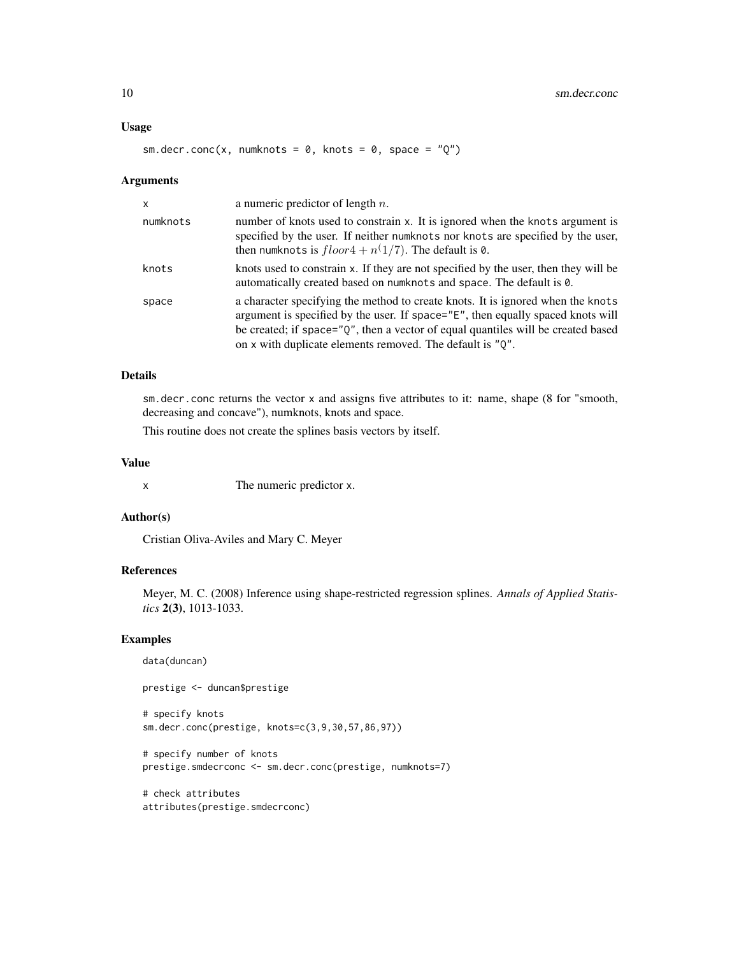#### Usage

```
sm.decr.conc(x, numknots = 0, knots = 0, space = "Q")
```
#### Arguments

| $\mathsf{x}$ | a numeric predictor of length $n$ .                                                                                                                                                                                                                                                                                 |
|--------------|---------------------------------------------------------------------------------------------------------------------------------------------------------------------------------------------------------------------------------------------------------------------------------------------------------------------|
| numknots     | number of knots used to constrain x. It is ignored when the knots argument is<br>specified by the user. If neither numknots nor knots are specified by the user,<br>then numknots is $floor4 + n(1/7)$ . The default is 0.                                                                                          |
| knots        | knots used to constrain x. If they are not specified by the user, then they will be<br>automatically created based on numknots and space. The default is 0.                                                                                                                                                         |
| space        | a character specifying the method to create knots. It is ignored when the knots<br>argument is specified by the user. If space="E", then equally spaced knots will<br>be created; if space="Q", then a vector of equal quantiles will be created based<br>on x with duplicate elements removed. The default is "Q". |

#### Details

sm.decr.conc returns the vector x and assigns five attributes to it: name, shape (8 for "smooth, decreasing and concave"), numknots, knots and space.

This routine does not create the splines basis vectors by itself.

# Value

x The numeric predictor x.

# Author(s)

Cristian Oliva-Aviles and Mary C. Meyer

# References

Meyer, M. C. (2008) Inference using shape-restricted regression splines. *Annals of Applied Statistics* 2(3), 1013-1033.

#### Examples

```
data(duncan)
```
prestige <- duncan\$prestige

# specify knots sm.decr.conc(prestige, knots=c(3,9,30,57,86,97))

```
# specify number of knots
prestige.smdecrconc <- sm.decr.conc(prestige, numknots=7)
```

```
# check attributes
attributes(prestige.smdecrconc)
```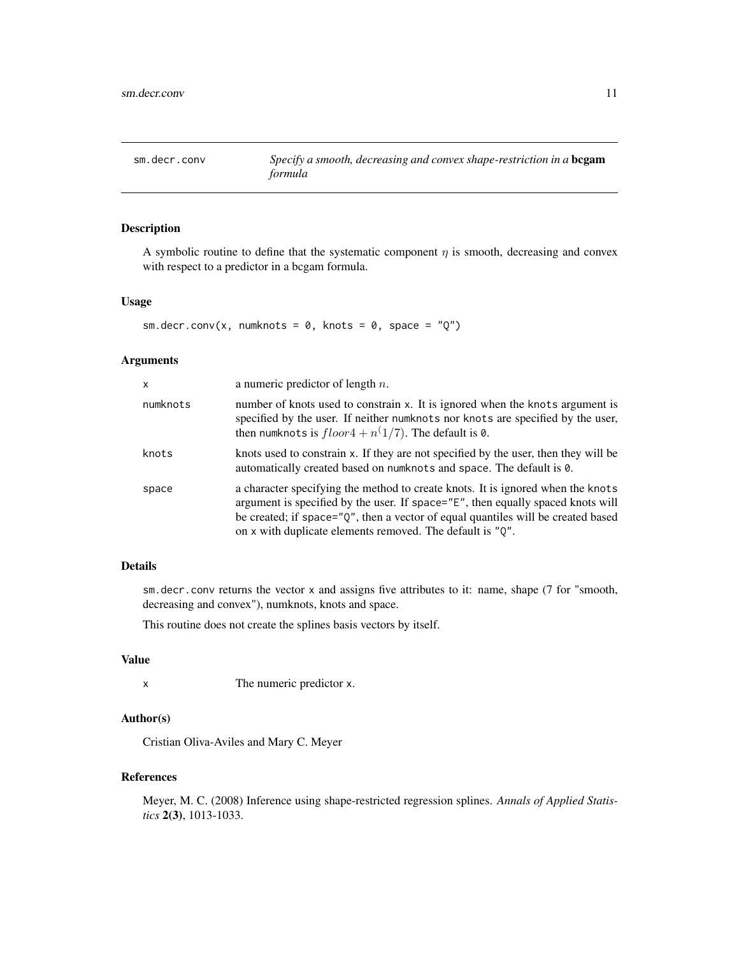<span id="page-10-1"></span><span id="page-10-0"></span>sm.decr.conv *Specify a smooth, decreasing and convex shape-restriction in a* bcgam *formula*

# Description

A symbolic routine to define that the systematic component  $\eta$  is smooth, decreasing and convex with respect to a predictor in a bcgam formula.

#### Usage

```
sm.decr.conv(x, numknots = 0, knots = 0, space = "Q")
```
# Arguments

| x        | a numeric predictor of length $n$ .                                                                                                                                                                                                                                                                                 |
|----------|---------------------------------------------------------------------------------------------------------------------------------------------------------------------------------------------------------------------------------------------------------------------------------------------------------------------|
| numknots | number of knots used to constrain x. It is ignored when the knots argument is<br>specified by the user. If neither numknots nor knots are specified by the user,<br>then numknots is $floor4 + n(1/7)$ . The default is 0.                                                                                          |
| knots    | knots used to constrain x. If they are not specified by the user, then they will be<br>automatically created based on numknots and space. The default is 0.                                                                                                                                                         |
| space    | a character specifying the method to create knots. It is ignored when the knots<br>argument is specified by the user. If space="E", then equally spaced knots will<br>be created; if space="Q", then a vector of equal quantiles will be created based<br>on x with duplicate elements removed. The default is "Q". |

# Details

sm.decr.conv returns the vector x and assigns five attributes to it: name, shape (7 for "smooth, decreasing and convex"), numknots, knots and space.

This routine does not create the splines basis vectors by itself.

#### Value

x The numeric predictor x.

# Author(s)

Cristian Oliva-Aviles and Mary C. Meyer

# References

Meyer, M. C. (2008) Inference using shape-restricted regression splines. *Annals of Applied Statistics* 2(3), 1013-1033.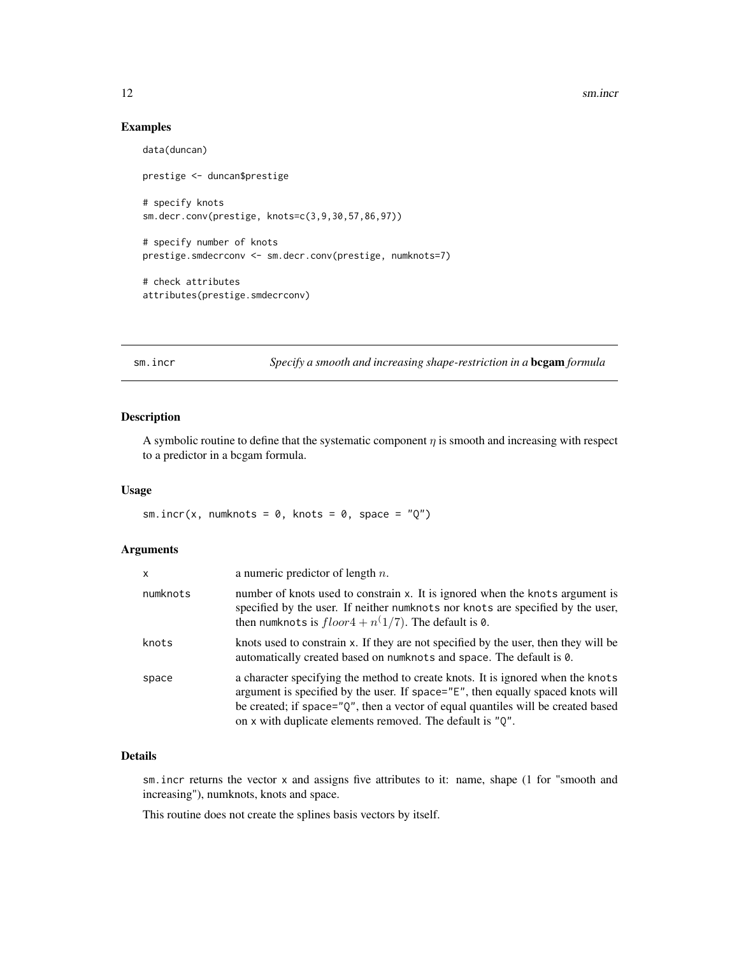#### Examples

```
data(duncan)
prestige <- duncan$prestige
# specify knots
sm.decr.conv(prestige, knots=c(3,9,30,57,86,97))
# specify number of knots
prestige.smdecrconv <- sm.decr.conv(prestige, numknots=7)
# check attributes
attributes(prestige.smdecrconv)
```
<span id="page-11-1"></span>sm.incr *Specify a smooth and increasing shape-restriction in a* bcgam *formula*

# Description

A symbolic routine to define that the systematic component  $\eta$  is smooth and increasing with respect to a predictor in a bcgam formula.

# Usage

sm.incr(x, numknots =  $0$ , knots =  $0$ , space =  $"Q"$ )

#### Arguments

| $\mathsf{x}$ | a numeric predictor of length $n$ .                                                                                                                                                                                                                                                                                 |
|--------------|---------------------------------------------------------------------------------------------------------------------------------------------------------------------------------------------------------------------------------------------------------------------------------------------------------------------|
| numknots     | number of knots used to constrain x. It is ignored when the knots argument is<br>specified by the user. If neither numknots nor knots are specified by the user,<br>then numknots is $floor4 + n(1/7)$ . The default is 0.                                                                                          |
| knots        | knots used to constrain x. If they are not specified by the user, then they will be<br>automatically created based on numknots and space. The default is 0.                                                                                                                                                         |
| space        | a character specifying the method to create knots. It is ignored when the knots<br>argument is specified by the user. If space="E", then equally spaced knots will<br>be created; if space="Q", then a vector of equal quantiles will be created based<br>on x with duplicate elements removed. The default is "Q". |

# Details

sm.incr returns the vector x and assigns five attributes to it: name, shape (1 for "smooth and increasing"), numknots, knots and space.

This routine does not create the splines basis vectors by itself.

<span id="page-11-0"></span>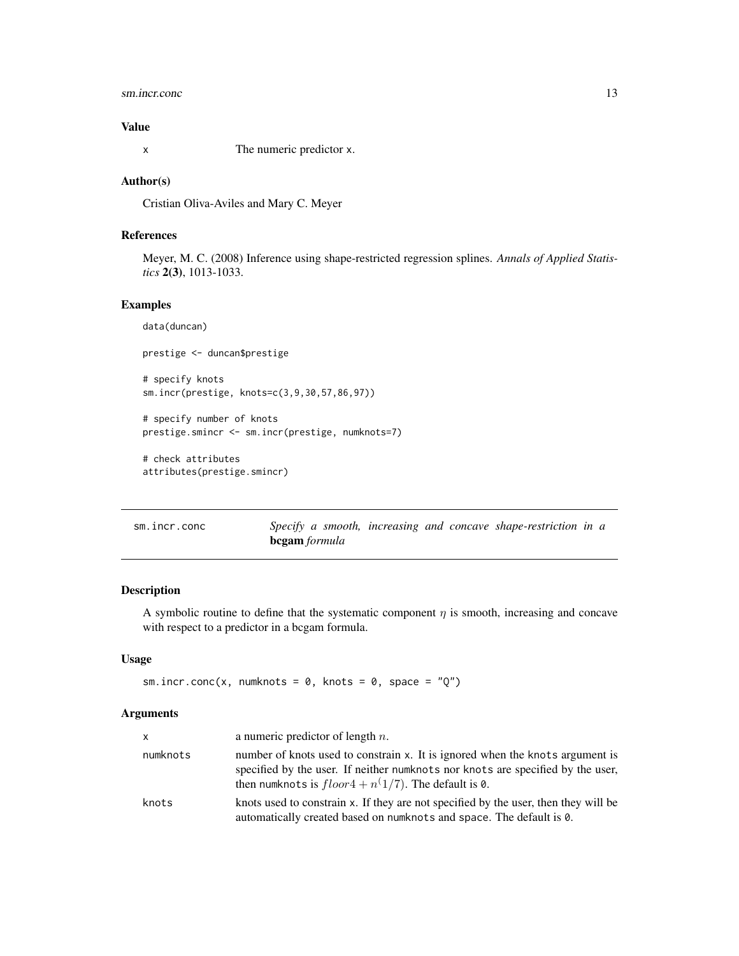# <span id="page-12-0"></span>sm.incr.conc 13

# Value

x The numeric predictor x.

#### Author(s)

Cristian Oliva-Aviles and Mary C. Meyer

# References

Meyer, M. C. (2008) Inference using shape-restricted regression splines. *Annals of Applied Statistics* 2(3), 1013-1033.

# Examples

```
data(duncan)
prestige <- duncan$prestige
# specify knots
sm.incr(prestige, knots=c(3,9,30,57,86,97))
# specify number of knots
prestige.smincr <- sm.incr(prestige, numknots=7)
# check attributes
attributes(prestige.smincr)
```
<span id="page-12-1"></span>

| sm.incr.conc | Specify a smooth, increasing and concave shape-restriction in a |  |  |  |
|--------------|-----------------------------------------------------------------|--|--|--|
|              | <b>bcgam</b> formula                                            |  |  |  |

# Description

A symbolic routine to define that the systematic component  $\eta$  is smooth, increasing and concave with respect to a predictor in a bcgam formula.

#### Usage

```
sm.incr.conc(x, numknots = 0, knots = 0, space = "Q")
```
# Arguments

| <b>X</b> | a numeric predictor of length $n$ .                                                                                                                                                                                        |
|----------|----------------------------------------------------------------------------------------------------------------------------------------------------------------------------------------------------------------------------|
| numknots | number of knots used to constrain x. It is ignored when the knots argument is<br>specified by the user. If neither numknots nor knots are specified by the user,<br>then numknots is $floor4 + n(1/7)$ . The default is 0. |
| knots    | knots used to constrain x. If they are not specified by the user, then they will be<br>automatically created based on numknots and space. The default is 0.                                                                |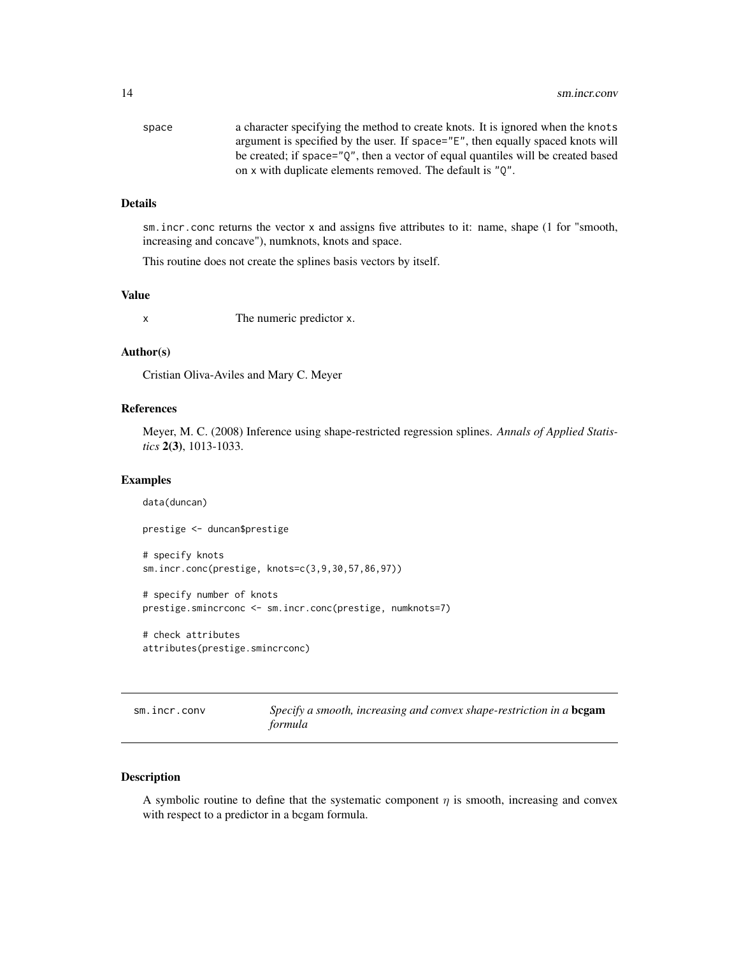<span id="page-13-0"></span>

| space | a character specifying the method to create knots. It is ignored when the knots  |
|-------|----------------------------------------------------------------------------------|
|       | argument is specified by the user. If space="E", then equally spaced knots will  |
|       | be created; if space="0", then a vector of equal quantiles will be created based |
|       | on x with duplicate elements removed. The default is "0".                        |

#### Details

sm.incr.conc returns the vector x and assigns five attributes to it: name, shape (1 for "smooth, increasing and concave"), numknots, knots and space.

This routine does not create the splines basis vectors by itself.

# Value

x The numeric predictor x.

# Author(s)

Cristian Oliva-Aviles and Mary C. Meyer

# References

Meyer, M. C. (2008) Inference using shape-restricted regression splines. *Annals of Applied Statistics* 2(3), 1013-1033.

#### Examples

```
data(duncan)
prestige <- duncan$prestige
# specify knots
sm.incr.conc(prestige, knots=c(3,9,30,57,86,97))
# specify number of knots
prestige.smincrconc <- sm.incr.conc(prestige, numknots=7)
```
# check attributes attributes(prestige.smincrconc)

<span id="page-13-1"></span>sm.incr.conv *Specify a smooth, increasing and convex shape-restriction in a* bcgam *formula*

# Description

A symbolic routine to define that the systematic component  $\eta$  is smooth, increasing and convex with respect to a predictor in a bcgam formula.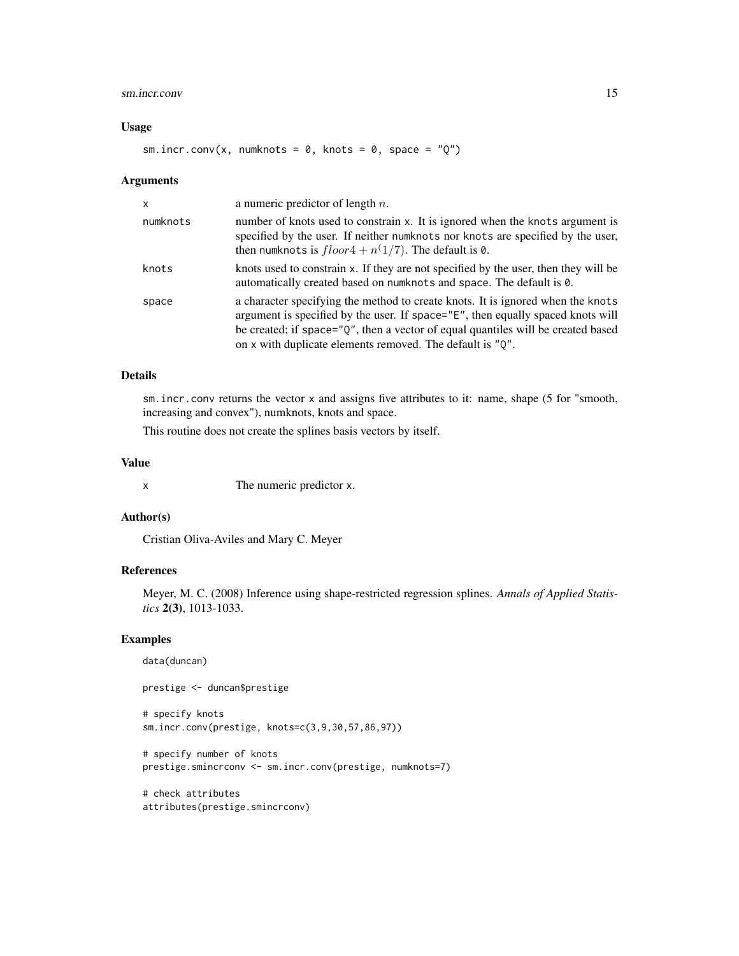# sm.incr.conv 15

#### Usage

```
sm.incr.conv(x, numknots = 0, knots = 0, space = "Q")
```
#### Arguments

| $\mathsf{x}$ | a numeric predictor of length $n$ .                                                                                                                                                                                                                                                                                 |
|--------------|---------------------------------------------------------------------------------------------------------------------------------------------------------------------------------------------------------------------------------------------------------------------------------------------------------------------|
| numknots     | number of knots used to constrain x. It is ignored when the knots argument is<br>specified by the user. If neither numknots nor knots are specified by the user,<br>then numknots is $floor4 + n(1/7)$ . The default is 0.                                                                                          |
| knots        | knots used to constrain x. If they are not specified by the user, then they will be<br>automatically created based on numknots and space. The default is 0.                                                                                                                                                         |
| space        | a character specifying the method to create knots. It is ignored when the knots<br>argument is specified by the user. If space="E", then equally spaced knots will<br>be created; if space="Q", then a vector of equal quantiles will be created based<br>on x with duplicate elements removed. The default is "Q". |

#### Details

sm.incr.conv returns the vector x and assigns five attributes to it: name, shape (5 for "smooth, increasing and convex"), numknots, knots and space.

This routine does not create the splines basis vectors by itself.

# Value

x The numeric predictor x.

# Author(s)

Cristian Oliva-Aviles and Mary C. Meyer

# References

Meyer, M. C. (2008) Inference using shape-restricted regression splines. *Annals of Applied Statistics* 2(3), 1013-1033.

#### Examples

```
data(duncan)
```
prestige <- duncan\$prestige

# specify knots sm.incr.conv(prestige, knots=c(3,9,30,57,86,97))

```
# specify number of knots
prestige.smincrconv <- sm.incr.conv(prestige, numknots=7)
```

```
# check attributes
attributes(prestige.smincrconv)
```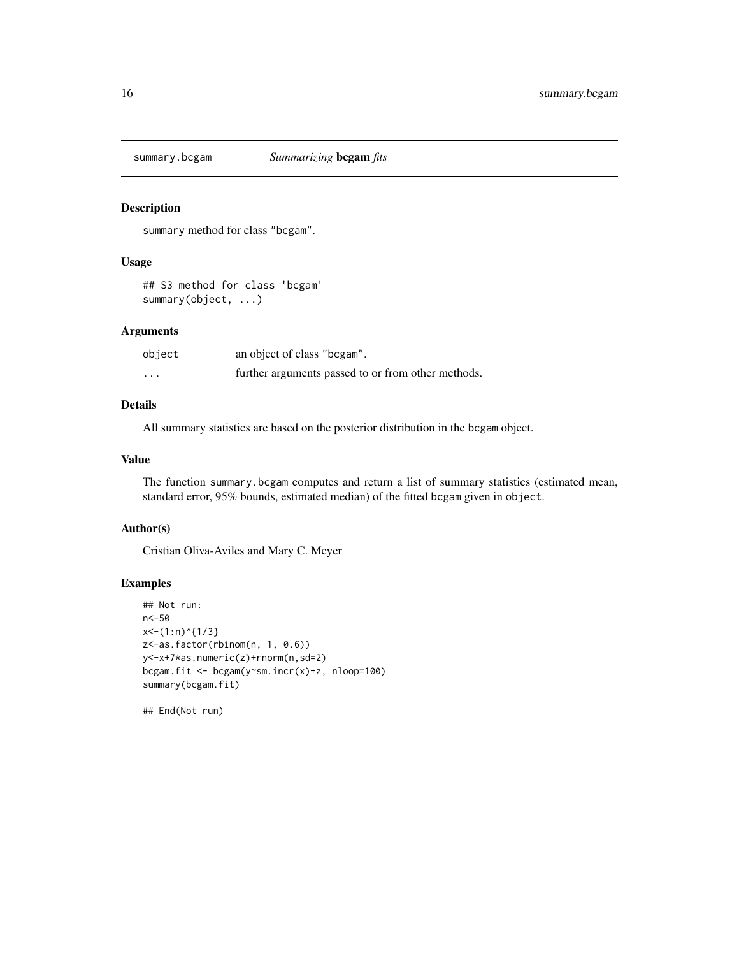<span id="page-15-0"></span>

# Description

summary method for class "bcgam".

#### Usage

## S3 method for class 'bcgam' summary(object, ...)

# Arguments

| object  | an object of class "bcgam".                        |
|---------|----------------------------------------------------|
| $\cdot$ | further arguments passed to or from other methods. |

# Details

All summary statistics are based on the posterior distribution in the bcgam object.

# Value

The function summary.bcgam computes and return a list of summary statistics (estimated mean, standard error, 95% bounds, estimated median) of the fitted bcgam given in object.

### Author(s)

Cristian Oliva-Aviles and Mary C. Meyer

# Examples

```
## Not run:
n<-50
x<-(1:n)^{1/3}
z<-as.factor(rbinom(n, 1, 0.6))
y<-x+7*as.numeric(z)+rnorm(n,sd=2)
bcgam.fit <- bcgam(y~sm.incr(x)+z, nloop=100)
summary(bcgam.fit)
```
## End(Not run)